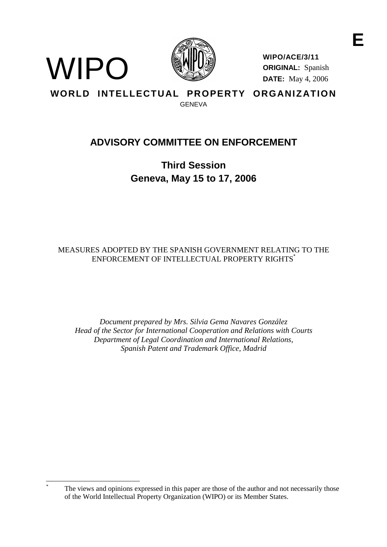



**WIPO/ACE/3/11 ORIGINAL:** Spanish **DATE:** May 4, 2006

**WORLD INTELLECTUAL PROPERTY ORGANIZATION** GENEVA

# **ADVISORY COMMITTEE ON ENFORCEMENT**

**Third Session Geneva, May 15 to 17, 2006**

MEASURES ADOPTED BY THE SPANISH GOVERNMENT RELATING TO THE ENFORCEMENT OF INTELLECTUAL PROPERTY RIGHTS<sup>\*</sup>

*Document prepared by Mrs. Silvia Gema Navares González Head of the Sector for International Cooperation and Relations with Courts Department of Legal Coordination and International Relations, Spanish Patent and Trademark Office, Madrid*

The views and opinions expressed in this paper are those of the author and not necessarily those of the World Intellectual Property Organization (WIPO) or its Member States.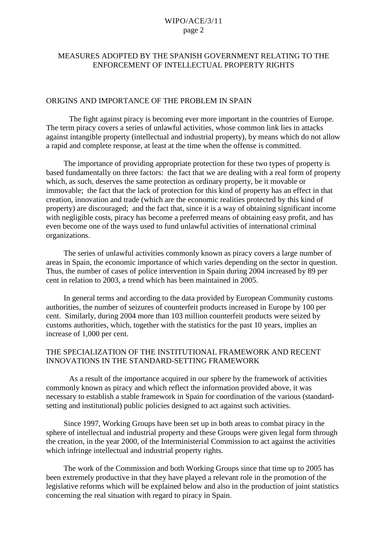### MEASURES ADOPTED BY THE SPANISH GOVERNMENT RELATING TO THE ENFORCEMENT OF INTELLECTUAL PROPERTY RIGHTS

#### ORIGINS AND IMPORTANCE OF THE PROBLEM IN SPAIN

The fight against piracy is becoming ever more important in the countries of Europe. The term piracy covers a series of unlawful activities, whose common link lies in attacks against intangible property (intellectual and industrial property), by means which do not allow a rapid and complete response, at least at the time when the offense is committed.

The importance of providing appropriate protection for these two types of property is based fundamentally on three factors: the fact that we are dealing with a real form of property which, as such, deserves the same protection as ordinary property, be it movable or immovable; the fact that the lack of protection for this kind of property has an effect in that creation, innovation and trade (which are the economic realities protected by this kind of property) are discouraged; and the fact that, since it is a way of obtaining significant income with negligible costs, piracy has become a preferred means of obtaining easy profit, and has even become one of the ways used to fund unlawful activities of international criminal organizations.

The series of unlawful activities commonly known as piracy covers a large number of areas in Spain, the economic importance of which varies depending on the sector in question. Thus, the number of cases of police intervention in Spain during 2004 increased by 89 per cent in relation to 2003, a trend which has been maintained in 2005.

In general terms and according to the data provided by European Community customs authorities, the number of seizures of counterfeit products increased in Europe by 100 per cent. Similarly, during 2004 more than 103 million counterfeit products were seized by customs authorities, which, together with the statistics for the past 10 years, implies an increase of 1,000 per cent.

#### THE SPECIALIZATION OF THE INSTITUTIONAL FRAMEWORK AND RECENT INNOVATIONS IN THE STANDARD-SETTING FRAMEWORK

As a result of the importance acquired in our sphere by the framework of activities commonly known as piracy and which reflect the information provided above, it was necessary to establish a stable framework in Spain for coordination of the various (standardsetting and institutional) public policies designed to act against such activities.

Since 1997, Working Groups have been set up in both areas to combat piracy in the sphere of intellectual and industrial property and these Groups were given legal form through the creation, in the year 2000, of the Interministerial Commission to act against the activities which infringe intellectual and industrial property rights.

The work of the Commission and both Working Groups since that time up to 2005 has been extremely productive in that they have played a relevant role in the promotion of the legislative reforms which will be explained below and also in the production of joint statistics concerning the real situation with regard to piracy in Spain.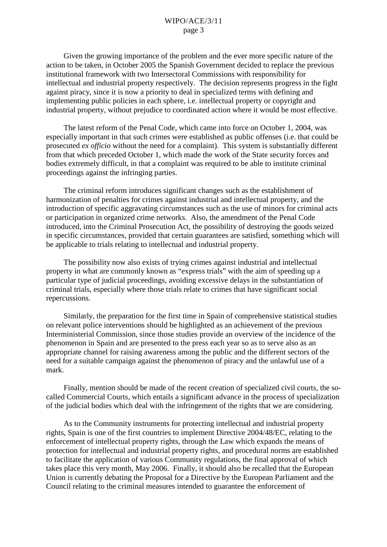Given the growing importance of the problem and the ever more specific nature of the action to be taken, in October 2005 the Spanish Government decided to replace the previous institutional framework with two Intersectoral Commissions with responsibility for intellectual and industrial property respectively. The decision represents progress in the fight against piracy, since it is now a priority to deal in specialized terms with defining and implementing public policies in each sphere, i.e. intellectual property or copyright and industrial property, without prejudice to coordinated action where it would be most effective.

The latest reform of the Penal Code, which came into force on October 1, 2004, was especially important in that such crimes were established as public offenses (i.e. that could be prosecuted *ex officio* without the need for a complaint). This system is substantially different from that which preceded October 1, which made the work of the State security forces and bodies extremely difficult, in that a complaint was required to be able to institute criminal proceedings against the infringing parties.

The criminal reform introduces significant changes such as the establishment of harmonization of penalties for crimes against industrial and intellectual property, and the introduction of specific aggravating circumstances such as the use of minors for criminal acts or participation in organized crime networks. Also, the amendment of the Penal Code introduced, into the Criminal Prosecution Act, the possibility of destroying the goods seized in specific circumstances, provided that certain guarantees are satisfied, something which will be applicable to trials relating to intellectual and industrial property.

The possibility now also exists of trying crimes against industrial and intellectual property in what are commonly known as "express trials" with the aim of speeding up a particular type of judicial proceedings, avoiding excessive delays in the substantiation of criminal trials, especially where those trials relate to crimes that have significant social repercussions.

Similarly, the preparation for the first time in Spain of comprehensive statistical studies on relevant police interventions should be highlighted as an achievement of the previous Interministerial Commission, since those studies provide an overview of the incidence of the phenomenon in Spain and are presented to the press each year so as to serve also as an appropriate channel for raising awareness among the public and the different sectors of the need for a suitable campaign against the phenomenon of piracy and the unlawful use of a mark.

Finally, mention should be made of the recent creation of specialized civil courts, the socalled Commercial Courts, which entails a significant advance in the process of specialization of the judicial bodies which deal with the infringement of the rights that we are considering.

As to the Community instruments for protecting intellectual and industrial property rights, Spain is one of the first countries to implement Directive 2004/48/EC, relating to the enforcement of intellectual property rights, through the Law which expands the means of protection for intellectual and industrial property rights, and procedural norms are established to facilitate the application of various Community regulations, the final approval of which takes place this very month, May 2006. Finally, it should also be recalled that the European Union is currently debating the Proposal for a Directive by the European Parliament and the Council relating to the criminal measures intended to guarantee the enforcement of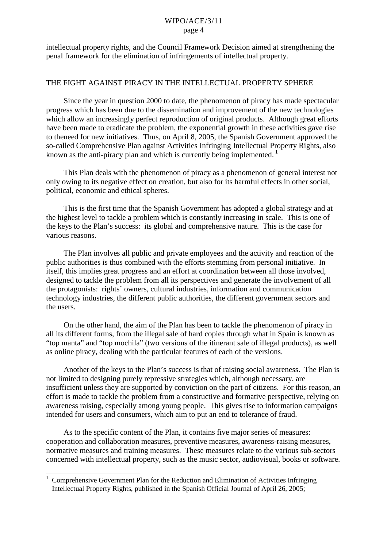intellectual property rights, and the Council Framework Decision aimed at strengthening the penal framework for the elimination of infringements of intellectual property.

#### THE FIGHT AGAINST PIRACY IN THE INTELLECTUAL PROPERTY SPHERE

Since the year in question 2000 to date, the phenomenon of piracy has made spectacular progress which has been due to the dissemination and improvement of the new technologies which allow an increasingly perfect reproduction of original products. Although great efforts have been made to eradicate the problem, the exponential growth in these activities gave rise to the need for new initiatives. Thus, on April 8, 2005, the Spanish Government approved the so-called Comprehensive Plan against Activities Infringing Intellectual Property Rights, also known as the anti-piracy plan and which is currently being implemented.**<sup>1</sup>**

This Plan deals with the phenomenon of piracy as a phenomenon of general interest not only owing to its negative effect on creation, but also for its harmful effects in other social, political, economic and ethical spheres.

This is the first time that the Spanish Government has adopted a global strategy and at the highest level to tackle a problem which is constantly increasing in scale. This is one of the keys to the Plan's success: its global and comprehensive nature. This is the case for various reasons.

The Plan involves all public and private employees and the activity and reaction of the public authorities is thus combined with the efforts stemming from personal initiative. In itself, this implies great progress and an effort at coordination between all those involved, designed to tackle the problem from all its perspectives and generate the involvement of all the protagonists: rights' owners, cultural industries, information and communication technology industries, the different public authorities, the different government sectors and the users.

On the other hand, the aim of the Plan has been to tackle the phenomenon of piracy in all its different forms, from the illegal sale of hard copies through what in Spain is known as "top manta" and "top mochila" (two versions of the itinerant sale of illegal products), as well as online piracy, dealing with the particular features of each of the versions.

Another of the keys to the Plan's success is that of raising social awareness. The Plan is not limited to designing purely repressive strategies which, although necessary, are insufficient unless they are supported by conviction on the part of citizens. For this reason, an effort is made to tackle the problem from a constructive and formative perspective, relying on awareness raising, especially among young people. This gives rise to information campaigns intended for users and consumers, which aim to put an end to tolerance of fraud.

As to the specific content of the Plan, it contains five major series of measures: cooperation and collaboration measures, preventive measures, awareness-raising measures, normative measures and training measures. These measures relate to the various sub-sectors concerned with intellectual property, such as the music sector, audiovisual, books or software.

<sup>1</sup> Comprehensive Government Plan for the Reduction and Elimination of Activities Infringing Intellectual Property Rights, published in the Spanish Official Journal of April 26, 2005;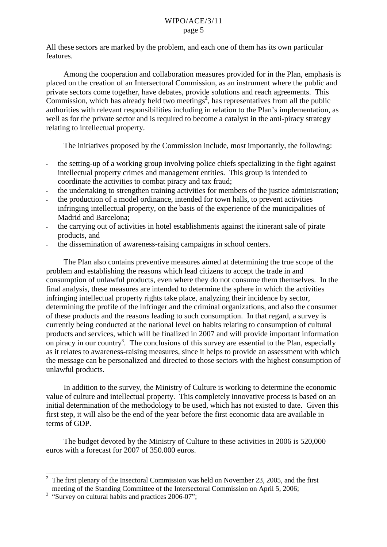All these sectors are marked by the problem, and each one of them has its own particular features.

Among the cooperation and collaboration measures provided for in the Plan, emphasis is placed on the creation of an Intersectoral Commission, as an instrument where the public and private sectors come together, have debates, provide solutions and reach agreements. This Commission, which has already held two meetings<sup>2</sup>, has representatives from all the public authorities with relevant responsibilities including in relation to the Plan's implementation, as well as for the private sector and is required to become a catalyst in the anti-piracy strategy relating to intellectual property.

The initiatives proposed by the Commission include, most importantly, the following:

- the setting-up of a working group involving police chiefs specializing in the fight against intellectual property crimes and management entities. This group is intended to coordinate the activities to combat piracy and tax fraud;
- the undertaking to strengthen training activities for members of the justice administration;
- the production of a model ordinance, intended for town halls, to prevent activities infringing intellectual property, on the basis of the experience of the municipalities of Madrid and Barcelona;
- the carrying out of activities in hotel establishments against the itinerant sale of pirate products, and
- the dissemination of awareness-raising campaigns in school centers.

The Plan also contains preventive measures aimed at determining the true scope of the problem and establishing the reasons which lead citizens to accept the trade in and consumption of unlawful products, even where they do not consume them themselves. In the final analysis, these measures are intended to determine the sphere in which the activities infringing intellectual property rights take place, analyzing their incidence by sector, determining the profile of the infringer and the criminal organizations, and also the consumer of these products and the reasons leading to such consumption. In that regard, a survey is currently being conducted at the national level on habits relating to consumption of cultural products and services, which will be finalized in 2007 and will provide important information on piracy in our country<sup>3</sup>. The conclusions of this survey are essential to the Plan, especially as it relates to awareness-raising measures, since it helps to provide an assessment with which the message can be personalized and directed to those sectors with the highest consumption of unlawful products.

In addition to the survey, the Ministry of Culture is working to determine the economic value of culture and intellectual property. This completely innovative process is based on an initial determination of the methodology to be used, which has not existed to date. Given this first step, it will also be the end of the year before the first economic data are available in terms of GDP.

The budget devoted by the Ministry of Culture to these activities in 2006 is 520,000 euros with a forecast for 2007 of 350.000 euros.

<sup>2</sup> The first plenary of the Insectoral Commission was held on November 23, 2005, and the first meeting of the Standing Committee of the Intersectoral Commission on April 5, 2006;

 $3 \frac{\text{mocung}}{\text{Surve}}$  on cultural habits and practices 2006-07";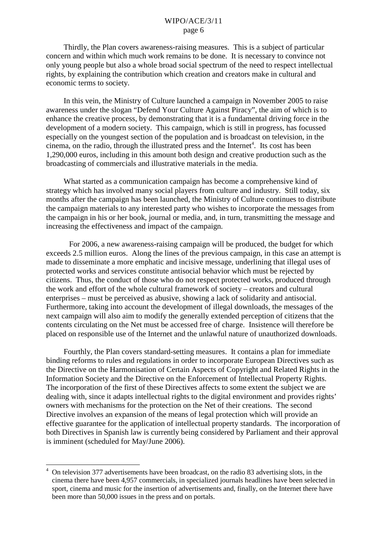Thirdly, the Plan covers awareness-raising measures. This is a subject of particular concern and within which much work remains to be done. It is necessary to convince not only young people but also a whole broad social spectrum of the need to respect intellectual rights, by explaining the contribution which creation and creators make in cultural and economic terms to society.

In this vein, the Ministry of Culture launched a campaign in November 2005 to raise awareness under the slogan "Defend Your Culture Against Piracy", the aim of which is to enhance the creative process, by demonstrating that it is a fundamental driving force in the development of a modern society. This campaign, which is still in progress, has focussed especially on the youngest section of the population and is broadcast on television, in the cinema, on the radio, through the illustrated press and the Internet<sup>4</sup>. Its cost has been 1,290,000 euros, including in this amount both design and creative production such as the broadcasting of commercials and illustrative materials in the media.

What started as a communication campaign has become a comprehensive kind of strategy which has involved many social players from culture and industry. Still today, six months after the campaign has been launched, the Ministry of Culture continues to distribute the campaign materials to any interested party who wishes to incorporate the messages from the campaign in his or her book, journal or media, and, in turn, transmitting the message and increasing the effectiveness and impact of the campaign.

For 2006, a new awareness-raising campaign will be produced, the budget for which exceeds 2.5 million euros. Along the lines of the previous campaign, in this case an attempt is made to disseminate a more emphatic and incisive message, underlining that illegal uses of protected works and services constitute antisocial behavior which must be rejected by citizens. Thus, the conduct of those who do not respect protected works, produced through the work and effort of the whole cultural framework of society – creators and cultural enterprises – must be perceived as abusive, showing a lack of solidarity and antisocial. Furthermore, taking into account the development of illegal downloads, the messages of the next campaign will also aim to modify the generally extended perception of citizens that the contents circulating on the Net must be accessed free of charge. Insistence will therefore be placed on responsible use of the Internet and the unlawful nature of unauthorized downloads.

Fourthly, the Plan covers standard-setting measures. It contains a plan for immediate binding reforms to rules and regulations in order to incorporate European Directives such as the Directive on the Harmonisation of Certain Aspects of Copyright and Related Rights in the Information Society and the Directive on the Enforcement of Intellectual Property Rights. The incorporation of the first of these Directives affects to some extent the subject we are dealing with, since it adapts intellectual rights to the digital environment and provides rights' owners with mechanisms for the protection on the Net of their creations. The second Directive involves an expansion of the means of legal protection which will provide an effective guarantee for the application of intellectual property standards. The incorporation of both Directives in Spanish law is currently being considered by Parliament and their approval is imminent (scheduled for May/June 2006).

<sup>4</sup> On television 377 advertisements have been broadcast, on the radio 83 advertising slots, in the cinema there have been 4,957 commercials, in specialized journals headlines have been selected in sport, cinema and music for the insertion of advertisements and, finally, on the Internet there have been more than 50,000 issues in the press and on portals.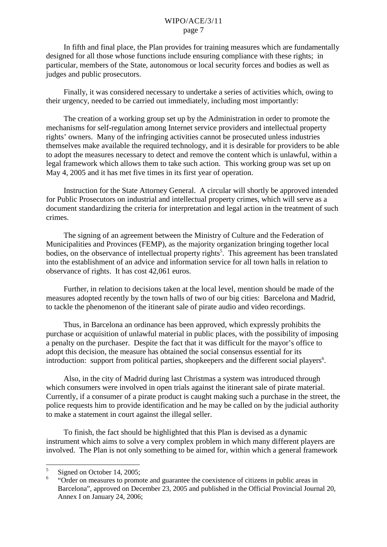In fifth and final place, the Plan provides for training measures which are fundamentally designed for all those whose functions include ensuring compliance with these rights; in particular, members of the State, autonomous or local security forces and bodies as well as judges and public prosecutors.

Finally, it was considered necessary to undertake a series of activities which, owing to their urgency, needed to be carried out immediately, including most importantly:

The creation of a working group set up by the Administration in order to promote the mechanisms for self-regulation among Internet service providers and intellectual property rights' owners. Many of the infringing activities cannot be prosecuted unless industries themselves make available the required technology, and it is desirable for providers to be able to adopt the measures necessary to detect and remove the content which is unlawful, within a legal framework which allows them to take such action. This working group was set up on May 4, 2005 and it has met five times in its first year of operation.

Instruction for the State Attorney General. A circular will shortly be approved intended for Public Prosecutors on industrial and intellectual property crimes, which will serve as a document standardizing the criteria for interpretation and legal action in the treatment of such crimes.

The signing of an agreement between the Ministry of Culture and the Federation of Municipalities and Provinces (FEMP), as the majority organization bringing together local bodies, on the observance of intellectual property rights<sup>5</sup>. This agreement has been translated into the establishment of an advice and information service for all town halls in relation to observance of rights. It has cost 42,061 euros.

Further, in relation to decisions taken at the local level, mention should be made of the measures adopted recently by the town halls of two of our big cities: Barcelona and Madrid, to tackle the phenomenon of the itinerant sale of pirate audio and video recordings.

Thus, in Barcelona an ordinance has been approved, which expressly prohibits the purchase or acquisition of unlawful material in public places, with the possibility of imposing a penalty on the purchaser. Despite the fact that it was difficult for the mayor's office to adopt this decision, the measure has obtained the social consensus essential for its introduction: support from political parties, shopkeepers and the different social players<sup>6</sup>.

Also, in the city of Madrid during last Christmas a system was introduced through which consumers were involved in open trials against the itinerant sale of pirate material. Currently, if a consumer of a pirate product is caught making such a purchase in the street, the police requests him to provide identification and he may be called on by the judicial authority to make a statement in court against the illegal seller.

To finish, the fact should be highlighted that this Plan is devised as a dynamic instrument which aims to solve a very complex problem in which many different players are involved. The Plan is not only something to be aimed for, within which a general framework

 $5$  Signed on October 14, 2005;

<sup>6</sup> "Order on measures to promote and guarantee the coexistence of citizens in public areas in Barcelona", approved on December 23, 2005 and published in the Official Provincial Journal 20, Annex I on January 24, 2006;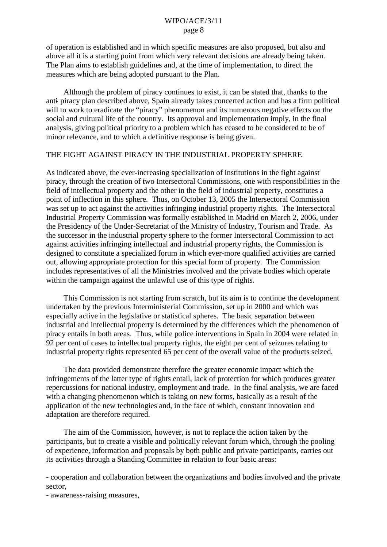of operation is established and in which specific measures are also proposed, but also and above all it is a starting point from which very relevant decisions are already being taken. The Plan aims to establish guidelines and, at the time of implementation, to direct the measures which are being adopted pursuant to the Plan.

Although the problem of piracy continues to exist, it can be stated that, thanks to the anti- piracy plan described above, Spain already takes concerted action and has a firm political will to work to eradicate the "piracy" phenomenon and its numerous negative effects on the social and cultural life of the country. Its approval and implementation imply, in the final analysis, giving political priority to a problem which has ceased to be considered to be of minor relevance, and to which a definitive response is being given.

## THE FIGHT AGAINST PIRACY IN THE INDUSTRIAL PROPERTY SPHERE

As indicated above, the ever-increasing specialization of institutions in the fight against piracy, through the creation of two Intersectoral Commissions, one with responsibilities in the field of intellectual property and the other in the field of industrial property, constitutes a point of inflection in this sphere. Thus, on October 13, 2005 the Intersectoral Commission was set up to act against the activities infringing industrial property rights. The Intersectoral Industrial Property Commission was formally established in Madrid on March 2, 2006, under the Presidency of the Under-Secretariat of the Ministry of Industry, Tourism and Trade. As the successor in the industrial property sphere to the former Intersectoral Commission to act against activities infringing intellectual and industrial property rights, the Commission is designed to constitute a specialized forum in which ever-more qualified activities are carried out, allowing appropriate protection for this special form of property. The Commission includes representatives of all the Ministries involved and the private bodies which operate within the campaign against the unlawful use of this type of rights.

This Commission is not starting from scratch, but its aim is to continue the development undertaken by the previous Interministerial Commission, set up in 2000 and which was especially active in the legislative or statistical spheres. The basic separation between industrial and intellectual property is determined by the differences which the phenomenon of piracy entails in both areas. Thus, while police interventions in Spain in 2004 were related in 92 per cent of cases to intellectual property rights, the eight per cent of seizures relating to industrial property rights represented 65 per cent of the overall value of the products seized.

The data provided demonstrate therefore the greater economic impact which the infringements of the latter type of rights entail, lack of protection for which produces greater repercussions for national industry, employment and trade. In the final analysis, we are faced with a changing phenomenon which is taking on new forms, basically as a result of the application of the new technologies and, in the face of which, constant innovation and adaptation are therefore required.

The aim of the Commission, however, is not to replace the action taken by the participants, but to create a visible and politically relevant forum which, through the pooling of experience, information and proposals by both public and private participants, carries out its activities through a Standing Committee in relation to four basic areas:

- cooperation and collaboration between the organizations and bodies involved and the private sector,

- awareness-raising measures,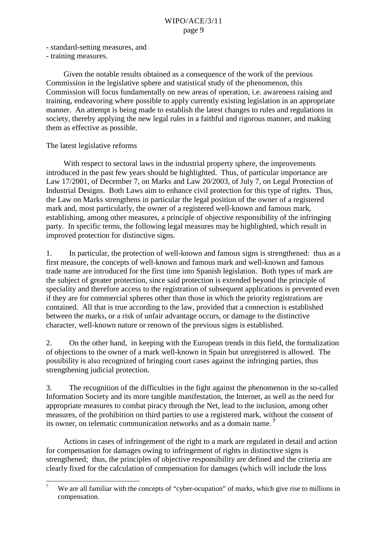- standard-setting measures, and
- training measures.

Given the notable results obtained as a consequence of the work of the previous Commission in the legislative sphere and statistical study of the phenomenon, this Commission will focus fundamentally on new areas of operation, i.e. awareness raising and training, endeavoring where possible to apply currently existing legislation in an appropriate manner. An attempt is being made to establish the latest changes to rules and regulations in society, thereby applying the new legal rules in a faithful and rigorous manner, and making them as effective as possible.

## The latest legislative reforms

With respect to sectoral laws in the industrial property sphere, the improvements introduced in the past few years should be highlighted. Thus, of particular importance are Law 17/2001, of December 7, on Marks and Law 20/2003, of July 7, on Legal Protection of Industrial Designs. Both Laws aim to enhance civil protection for this type of rights. Thus, the Law on Marks strengthens in particular the legal position of the owner of a registered mark and, most particularly, the owner of a registered well-known and famous mark, establishing, among other measures, a principle of objective responsibility of the infringing party. In specific terms, the following legal measures may be highlighted, which result in improved protection for distinctive signs.

1. In particular, the protection of well-known and famous signs is strengthened: thus as a first measure, the concepts of well-known and famous mark and well-known and famous trade name are introduced for the first time into Spanish legislation. Both types of mark are the subject of greater protection, since said protection is extended beyond the principle of speciality and therefore access to the registration of subsequent applications is prevented even if they are for commercial spheres other than those in which the priority registrations are contained. All that is true according to the law, provided that a connection is established between the marks, or a risk of unfair advantage occurs, or damage to the distinctive character, well-known nature or renown of the previous signs is established.

2. On the other hand, in keeping with the European trends in this field, the formalization of objections to the owner of a mark well-known in Spain but unregistered is allowed. The possibility is also recognized of bringing court cases against the infringing parties, thus strengthening judicial protection.

3. The recognition of the difficulties in the fight against the phenomenon in the so-called Information Society and its more tangible manifestation, the Internet, as well as the need for appropriate measures to combat piracy through the Net, lead to the inclusion, among other measures, of the prohibition on third parties to use a registered mark, without the consent of its owner, on telematic communication networks and as a domain name.**<sup>7</sup>**

Actions in cases of infringement of the right to a mark are regulated in detail and action for compensation for damages owing to infringement of rights in distinctive signs is strengthened; thus, the principles of objective responsibility are defined and the criteria are clearly fixed for the calculation of compensation for damages (which will include the loss

<sup>&</sup>lt;sup>7</sup> We are all familiar with the concepts of "cyber-ocupation" of marks, which give rise to millions in compensation.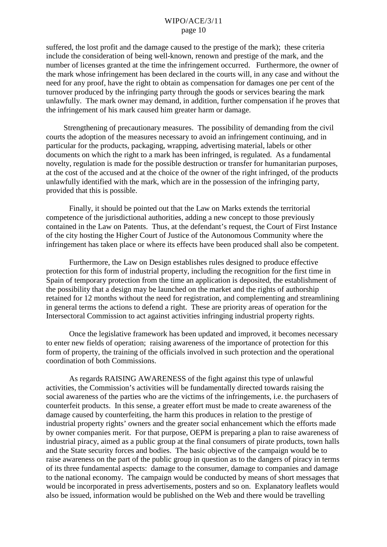suffered, the lost profit and the damage caused to the prestige of the mark); these criteria include the consideration of being well-known, renown and prestige of the mark, and the number of licenses granted at the time the infringement occurred. Furthermore, the owner of the mark whose infringement has been declared in the courts will, in any case and without the need for any proof, have the right to obtain as compensation for damages one per cent of the turnover produced by the infringing party through the goods or services bearing the mark unlawfully. The mark owner may demand, in addition, further compensation if he proves that the infringement of his mark caused him greater harm or damage.

Strengthening of precautionary measures. The possibility of demanding from the civil courts the adoption of the measures necessary to avoid an infringement continuing, and in particular for the products, packaging, wrapping, advertising material, labels or other documents on which the right to a mark has been infringed, is regulated. As a fundamental novelty, regulation is made for the possible destruction or transfer for humanitarian purposes, at the cost of the accused and at the choice of the owner of the right infringed, of the products unlawfully identified with the mark, which are in the possession of the infringing party, provided that this is possible.

Finally, it should be pointed out that the Law on Marks extends the territorial competence of the jurisdictional authorities, adding a new concept to those previously contained in the Law on Patents. Thus, at the defendant's request, the Court of First Instance of the city hosting the Higher Court of Justice of the Autonomous Community where the infringement has taken place or where its effects have been produced shall also be competent.

Furthermore, the Law on Design establishes rules designed to produce effective protection for this form of industrial property, including the recognition for the first time in Spain of temporary protection from the time an application is deposited, the establishment of the possibility that a design may be launched on the market and the rights of authorship retained for 12 months without the need for registration, and complementing and streamlining in general terms the actions to defend a right. These are priority areas of operation for the Intersectoral Commission to act against activities infringing industrial property rights.

Once the legislative framework has been updated and improved, it becomes necessary to enter new fields of operation; raising awareness of the importance of protection for this form of property, the training of the officials involved in such protection and the operational coordination of both Commissions.

As regards RAISING AWARENESS of the fight against this type of unlawful activities, the Commission's activities will be fundamentally directed towards raising the social awareness of the parties who are the victims of the infringements, i.e. the purchasers of counterfeit products. In this sense, a greater effort must be made to create awareness of the damage caused by counterfeiting, the harm this produces in relation to the prestige of industrial property rights' owners and the greater social enhancement which the efforts made by owner companies merit. For that purpose, OEPM is preparing a plan to raise awareness of industrial piracy, aimed as a public group at the final consumers of pirate products, town halls and the State security forces and bodies. The basic objective of the campaign would be to raise awareness on the part of the public group in question as to the dangers of piracy in terms of its three fundamental aspects: damage to the consumer, damage to companies and damage to the national economy. The campaign would be conducted by means of short messages that would be incorporated in press advertisements, posters and so on. Explanatory leaflets would also be issued, information would be published on the Web and there would be travelling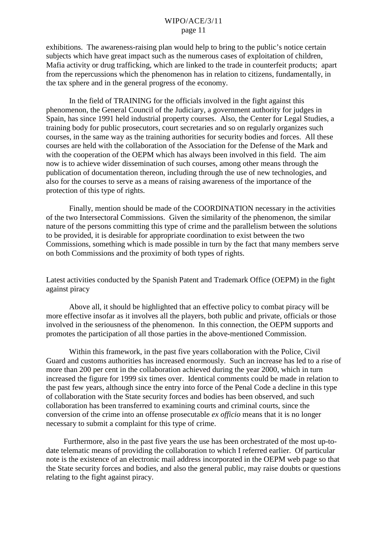exhibitions. The awareness-raising plan would help to bring to the public's notice certain subjects which have great impact such as the numerous cases of exploitation of children, Mafia activity or drug trafficking, which are linked to the trade in counterfeit products; apart from the repercussions which the phenomenon has in relation to citizens, fundamentally, in the tax sphere and in the general progress of the economy.

In the field of TRAINING for the officials involved in the fight against this phenomenon, the General Council of the Judiciary, a government authority for judges in Spain, has since 1991 held industrial property courses. Also, the Center for Legal Studies, a training body for public prosecutors, court secretaries and so on regularly organizes such courses, in the same way as the training authorities for security bodies and forces. All these courses are held with the collaboration of the Association for the Defense of the Mark and with the cooperation of the OEPM which has always been involved in this field. The aim now is to achieve wider dissemination of such courses, among other means through the publication of documentation thereon, including through the use of new technologies, and also for the courses to serve as a means of raising awareness of the importance of the protection of this type of rights.

Finally, mention should be made of the COORDINATION necessary in the activities of the two Intersectoral Commissions. Given the similarity of the phenomenon, the similar nature of the persons committing this type of crime and the parallelism between the solutions to be provided, it is desirable for appropriate coordination to exist between the two Commissions, something which is made possible in turn by the fact that many members serve on both Commissions and the proximity of both types of rights.

Latest activities conducted by the Spanish Patent and Trademark Office (OEPM) in the fight against piracy

Above all, it should be highlighted that an effective policy to combat piracy will be more effective insofar as it involves all the players, both public and private, officials or those involved in the seriousness of the phenomenon. In this connection, the OEPM supports and promotes the participation of all those parties in the above-mentioned Commission.

Within this framework, in the past five years collaboration with the Police, Civil Guard and customs authorities has increased enormously. Such an increase has led to a rise of more than 200 per cent in the collaboration achieved during the year 2000, which in turn increased the figure for 1999 six times over. Identical comments could be made in relation to the past few years, although since the entry into force of the Penal Code a decline in this type of collaboration with the State security forces and bodies has been observed, and such collaboration has been transferred to examining courts and criminal courts, since the conversion of the crime into an offense prosecutable *ex officio* means that it is no longer necessary to submit a complaint for this type of crime.

Furthermore, also in the past five years the use has been orchestrated of the most up-todate telematic means of providing the collaboration to which I referred earlier. Of particular note is the existence of an electronic mail address incorporated in the OEPM web page so that the State security forces and bodies, and also the general public, may raise doubts or questions relating to the fight against piracy.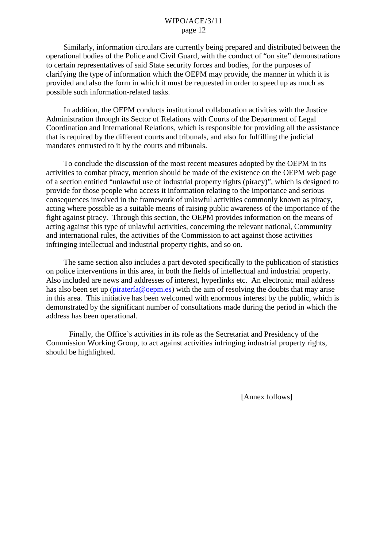Similarly, information circulars are currently being prepared and distributed between the operational bodies of the Police and Civil Guard, with the conduct of "on site" demonstrations to certain representatives of said State security forces and bodies, for the purposes of clarifying the type of information which the OEPM may provide, the manner in which it is provided and also the form in which it must be requested in order to speed up as much as possible such information-related tasks.

In addition, the OEPM conducts institutional collaboration activities with the Justice Administration through its Sector of Relations with Courts of the Department of Legal Coordination and International Relations, which is responsible for providing all the assistance that is required by the different courts and tribunals, and also for fulfilling the judicial mandates entrusted to it by the courts and tribunals.

To conclude the discussion of the most recent measures adopted by the OEPM in its activities to combat piracy, mention should be made of the existence on the OEPM web page of a section entitled "unlawful use of industrial property rights (piracy)", which is designed to provide for those people who access it information relating to the importance and serious consequences involved in the framework of unlawful activities commonly known as piracy, acting where possible as a suitable means of raising public awareness of the importance of the fight against piracy. Through this section, the OEPM provides information on the means of acting against this type of unlawful activities, concerning the relevant national, Community and international rules, the activities of the Commission to act against those activities infringing intellectual and industrial property rights, and so on.

The same section also includes a part devoted specifically to the publication of statistics on police interventions in this area, in both the fields of intellectual and industrial property. Also included are news and addresses of interest, hyperlinks etc. An electronic mail address has also been set up ([piratería@oepm.es\)](mailto:pirater�a@oepm.es) with the aim of resolving the doubts that may arise in this area. This initiative has been welcomed with enormous interest by the public, which is demonstrated by the significant number of consultations made during the period in which the address has been operational.

Finally, the Office's activities in its role as the Secretariat and Presidency of the Commission Working Group, to act against activities infringing industrial property rights, should be highlighted.

[Annex follows]